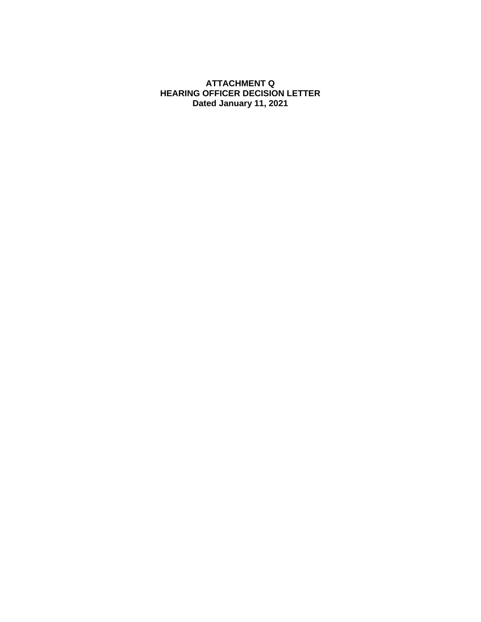### **ATTACHMENT Q HEARING OFFICER DECISION LETTER Dated January 11, 2021**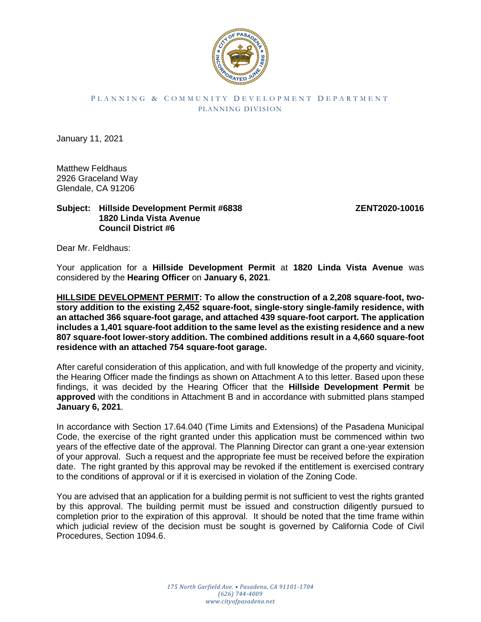

#### P L A N N I N G & C O M M U N I T Y D E V E L O P M E N T D E P A R T M E N T PLANNING DIVISION

January 11, 2021

Matthew Feldhaus 2926 Graceland Way Glendale, CA 91206

#### **Subject: Hillside Development Permit #6838 ZENT2020-10016 1820 Linda Vista Avenue Council District #6**

Dear Mr. Feldhaus:

Your application for a **Hillside Development Permit** at **1820 Linda Vista Avenue** was considered by the **Hearing Officer** on **January 6, 2021**.

**HILLSIDE DEVELOPMENT PERMIT: To allow the construction of a 2,208 square-foot, twostory addition to the existing 2,452 square-foot, single-story single-family residence, with an attached 366 square-foot garage, and attached 439 square-foot carport. The application includes a 1,401 square-foot addition to the same level as the existing residence and a new 807 square-foot lower-story addition. The combined additions result in a 4,660 square-foot residence with an attached 754 square-foot garage.**

After careful consideration of this application, and with full knowledge of the property and vicinity, the Hearing Officer made the findings as shown on Attachment A to this letter. Based upon these findings, it was decided by the Hearing Officer that the **Hillside Development Permit** be **approved** with the conditions in Attachment B and in accordance with submitted plans stamped **January 6, 2021**.

In accordance with Section 17.64.040 (Time Limits and Extensions) of the Pasadena Municipal Code, the exercise of the right granted under this application must be commenced within two years of the effective date of the approval. The Planning Director can grant a one-year extension of your approval. Such a request and the appropriate fee must be received before the expiration date. The right granted by this approval may be revoked if the entitlement is exercised contrary to the conditions of approval or if it is exercised in violation of the Zoning Code.

You are advised that an application for a building permit is not sufficient to vest the rights granted by this approval. The building permit must be issued and construction diligently pursued to completion prior to the expiration of this approval. It should be noted that the time frame within which judicial review of the decision must be sought is governed by California Code of Civil Procedures, Section 1094.6.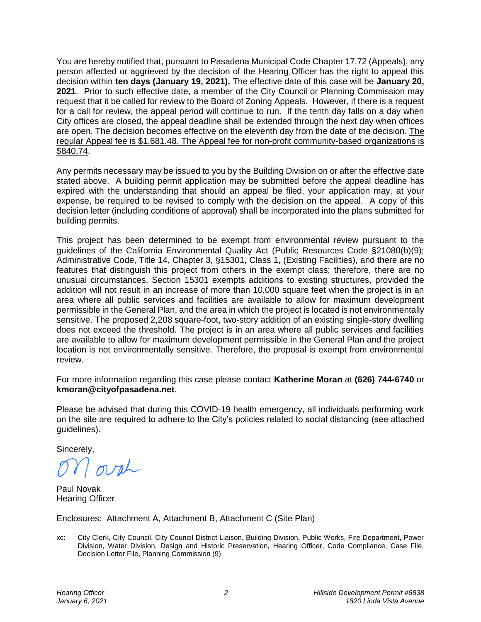You are hereby notified that, pursuant to Pasadena Municipal Code Chapter 17.72 (Appeals), any person affected or aggrieved by the decision of the Hearing Officer has the right to appeal this decision within **ten days (January 19, 2021).** The effective date of this case will be **January 20, 2021**. Prior to such effective date, a member of the City Council or Planning Commission may request that it be called for review to the Board of Zoning Appeals. However, if there is a request for a call for review, the appeal period will continue to run. If the tenth day falls on a day when City offices are closed, the appeal deadline shall be extended through the next day when offices are open. The decision becomes effective on the eleventh day from the date of the decision. The regular Appeal fee is \$1,681.48. The Appeal fee for non-profit community-based organizations is \$840.74.

Any permits necessary may be issued to you by the Building Division on or after the effective date stated above. A building permit application may be submitted before the appeal deadline has expired with the understanding that should an appeal be filed, your application may, at your expense, be required to be revised to comply with the decision on the appeal. A copy of this decision letter (including conditions of approval) shall be incorporated into the plans submitted for building permits.

This project has been determined to be exempt from environmental review pursuant to the guidelines of the California Environmental Quality Act (Public Resources Code §21080(b)(9); Administrative Code, Title 14, Chapter 3, §15301, Class 1, (Existing Facilities), and there are no features that distinguish this project from others in the exempt class; therefore, there are no unusual circumstances. Section 15301 exempts additions to existing structures, provided the addition will not result in an increase of more than 10,000 square feet when the project is in an area where all public services and facilities are available to allow for maximum development permissible in the General Plan, and the area in which the project is located is not environmentally sensitive. The proposed 2,208 square-foot, two-story addition of an existing single-story dwelling does not exceed the threshold. The project is in an area where all public services and facilities are available to allow for maximum development permissible in the General Plan and the project location is not environmentally sensitive. Therefore, the proposal is exempt from environmental review.

For more information regarding this case please contact **Katherine Moran** at **(626) 744-6740** or **kmoran@cityofpasadena.net**.

Please be advised that during this COVID-19 health emergency, all individuals performing work on the site are required to adhere to the City's policies related to social distancing (see attached guidelines).

Sincerely,

orch

Paul Novak Hearing Officer

Enclosures: Attachment A, Attachment B, Attachment C (Site Plan)

xc: City Clerk, City Council, City Council District Liaison, Building Division, Public Works, Fire Department, Power Division, Water Division, Design and Historic Preservation, Hearing Officer, Code Compliance, Case File, Decision Letter File, Planning Commission (9)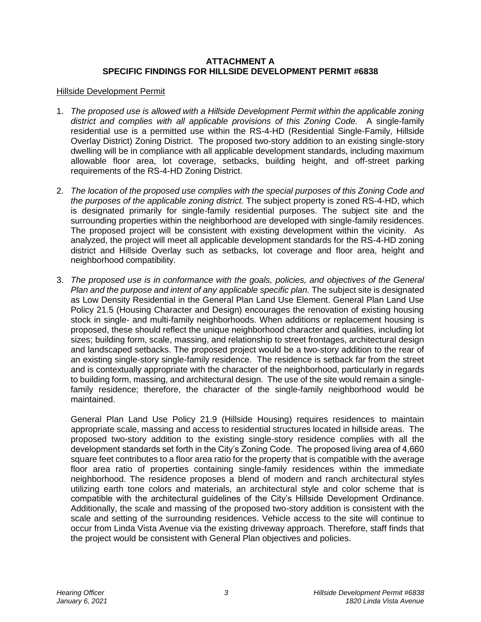## **ATTACHMENT A SPECIFIC FINDINGS FOR HILLSIDE DEVELOPMENT PERMIT #6838**

#### Hillside Development Permit

- 1. *The proposed use is allowed with a Hillside Development Permit within the applicable zoning district and complies with all applicable provisions of this Zoning Code.* A single-family residential use is a permitted use within the RS-4-HD (Residential Single-Family, Hillside Overlay District) Zoning District. The proposed two-story addition to an existing single-story dwelling will be in compliance with all applicable development standards, including maximum allowable floor area, lot coverage, setbacks, building height, and off-street parking requirements of the RS-4-HD Zoning District.
- 2. *The location of the proposed use complies with the special purposes of this Zoning Code and the purposes of the applicable zoning district.* The subject property is zoned RS-4-HD, which is designated primarily for single-family residential purposes. The subject site and the surrounding properties within the neighborhood are developed with single-family residences. The proposed project will be consistent with existing development within the vicinity. As analyzed, the project will meet all applicable development standards for the RS-4-HD zoning district and Hillside Overlay such as setbacks, lot coverage and floor area, height and neighborhood compatibility.
- 3. *The proposed use is in conformance with the goals, policies, and objectives of the General Plan and the purpose and intent of any applicable specific plan.* The subject site is designated as Low Density Residential in the General Plan Land Use Element. General Plan Land Use Policy 21.5 (Housing Character and Design) encourages the renovation of existing housing stock in single- and multi-family neighborhoods. When additions or replacement housing is proposed, these should reflect the unique neighborhood character and qualities, including lot sizes; building form, scale, massing, and relationship to street frontages, architectural design and landscaped setbacks. The proposed project would be a two-story addition to the rear of an existing single-story single-family residence. The residence is setback far from the street and is contextually appropriate with the character of the neighborhood, particularly in regards to building form, massing, and architectural design. The use of the site would remain a singlefamily residence; therefore, the character of the single-family neighborhood would be maintained.

General Plan Land Use Policy 21.9 (Hillside Housing) requires residences to maintain appropriate scale, massing and access to residential structures located in hillside areas. The proposed two-story addition to the existing single-story residence complies with all the development standards set forth in the City's Zoning Code. The proposed living area of 4,660 square feet contributes to a floor area ratio for the property that is compatible with the average floor area ratio of properties containing single-family residences within the immediate neighborhood. The residence proposes a blend of modern and ranch architectural styles utilizing earth tone colors and materials, an architectural style and color scheme that is compatible with the architectural guidelines of the City's Hillside Development Ordinance. Additionally, the scale and massing of the proposed two-story addition is consistent with the scale and setting of the surrounding residences. Vehicle access to the site will continue to occur from Linda Vista Avenue via the existing driveway approach. Therefore, staff finds that the project would be consistent with General Plan objectives and policies.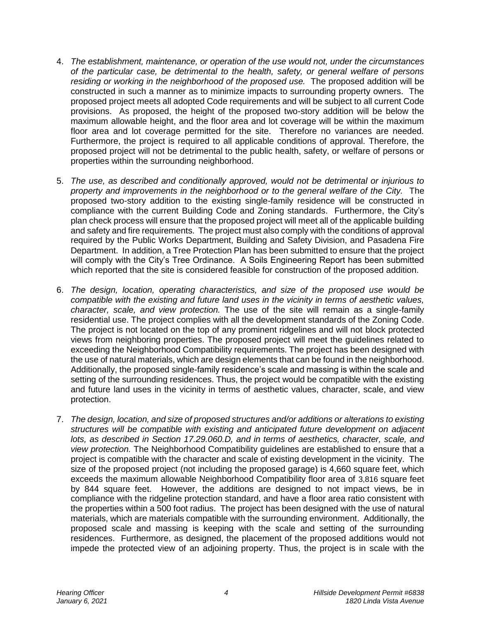- 4. *The establishment, maintenance, or operation of the use would not, under the circumstances of the particular case, be detrimental to the health, safety, or general welfare of persons residing or working in the neighborhood of the proposed use.* The proposed addition will be constructed in such a manner as to minimize impacts to surrounding property owners. The proposed project meets all adopted Code requirements and will be subject to all current Code provisions. As proposed, the height of the proposed two-story addition will be below the maximum allowable height, and the floor area and lot coverage will be within the maximum floor area and lot coverage permitted for the site. Therefore no variances are needed. Furthermore, the project is required to all applicable conditions of approval. Therefore, the proposed project will not be detrimental to the public health, safety, or welfare of persons or properties within the surrounding neighborhood.
- 5. *The use, as described and conditionally approved, would not be detrimental or injurious to property and improvements in the neighborhood or to the general welfare of the City.* The proposed two-story addition to the existing single-family residence will be constructed in compliance with the current Building Code and Zoning standards. Furthermore, the City's plan check process will ensure that the proposed project will meet all of the applicable building and safety and fire requirements. The project must also comply with the conditions of approval required by the Public Works Department, Building and Safety Division, and Pasadena Fire Department. In addition, a Tree Protection Plan has been submitted to ensure that the project will comply with the City's Tree Ordinance. A Soils Engineering Report has been submitted which reported that the site is considered feasible for construction of the proposed addition.
- 6. *The design, location, operating characteristics, and size of the proposed use would be compatible with the existing and future land uses in the vicinity in terms of aesthetic values, character, scale, and view protection.* The use of the site will remain as a single-family residential use. The project complies with all the development standards of the Zoning Code. The project is not located on the top of any prominent ridgelines and will not block protected views from neighboring properties. The proposed project will meet the guidelines related to exceeding the Neighborhood Compatibility requirements. The project has been designed with the use of natural materials, which are design elements that can be found in the neighborhood. Additionally, the proposed single-family residence's scale and massing is within the scale and setting of the surrounding residences. Thus, the project would be compatible with the existing and future land uses in the vicinity in terms of aesthetic values, character, scale, and view protection.
- 7. *The design, location, and size of proposed [structures](http://ww2.cityofpasadena.net/zoning/P-8.html#STRUCTURE) and/or additions or [alterations](http://ww2.cityofpasadena.net/zoning/P-8.html#ALTERATION) to existing [structures](http://ww2.cityofpasadena.net/zoning/P-8.html#STRUCTURE) will be compatible with existing and anticipated future [development](http://ww2.cityofpasadena.net/zoning/P-8.html#DEVELOPMENT) on adjacent [lots,](http://ww2.cityofpasadena.net/zoning/P-8.html#LOT) as described in Section 17.29.060.D, and in terms of aesthetics, character, scale, and view protection.* The Neighborhood Compatibility guidelines are established to ensure that a project is compatible with the character and scale of existing development in the vicinity. The size of the proposed project (not including the proposed garage) is 4,660 square feet, which exceeds the maximum allowable Neighborhood Compatibility floor area of 3,816 square feet by 844 square feet. However, the additions are designed to not impact views, be in compliance with the ridgeline protection standard, and have a floor area ratio consistent with the properties within a 500 foot radius. The project has been designed with the use of natural materials, which are materials compatible with the surrounding environment. Additionally, the proposed scale and massing is keeping with the scale and setting of the surrounding residences. Furthermore, as designed, the placement of the proposed additions would not impede the protected view of an adjoining property. Thus, the project is in scale with the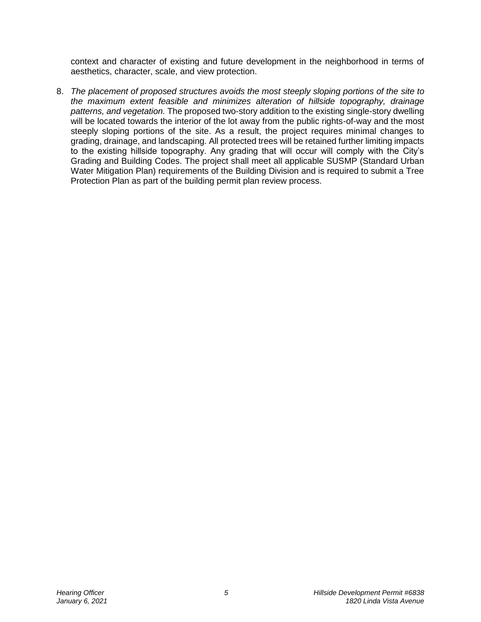context and character of existing and future development in the neighborhood in terms of aesthetics, character, scale, and view protection.

8. *The placement of proposed [structures](http://ww2.cityofpasadena.net/zoning/P-8.html#STRUCTURE) avoids the most steeply sloping portions of the [site](http://ww2.cityofpasadena.net/zoning/P-8.html#SITE) to the maximum extent [feasible](http://ww2.cityofpasadena.net/zoning/P-8.html#FEASIBLE) and minimizes [alteration](http://ww2.cityofpasadena.net/zoning/P-8.html#ALTERATION) of hillside topography, drainage patterns, and vegetation.* The proposed two-story addition to the existing single-story dwelling will be located towards the interior of the lot away from the public rights-of-way and the most steeply sloping portions of the site. As a result, the project requires minimal changes to grading, drainage, and landscaping. All protected trees will be retained further limiting impacts to the existing hillside topography. Any grading that will occur will comply with the City's Grading and Building Codes. The project shall meet all applicable SUSMP (Standard Urban Water Mitigation Plan) requirements of the Building Division and is required to submit a Tree Protection Plan as part of the building permit plan review process.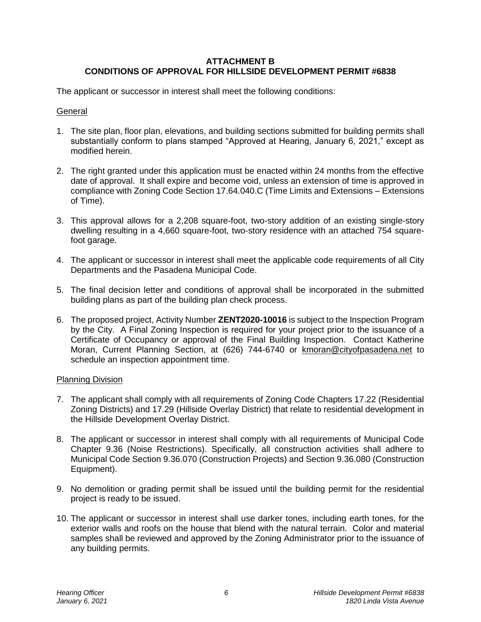# **ATTACHMENT B CONDITIONS OF APPROVAL FOR HILLSIDE DEVELOPMENT PERMIT #6838**

The applicant or successor in interest shall meet the following conditions:

#### **General**

- 1. The site plan, floor plan, elevations, and building sections submitted for building permits shall substantially conform to plans stamped "Approved at Hearing, January 6, 2021," except as modified herein.
- 2. The right granted under this application must be enacted within 24 months from the effective date of approval. It shall expire and become void, unless an extension of time is approved in compliance with Zoning Code Section 17.64.040.C (Time Limits and Extensions – Extensions of Time).
- 3. This approval allows for a 2,208 square-foot, two-story addition of an existing single-story dwelling resulting in a 4,660 square-foot, two-story residence with an attached 754 squarefoot garage.
- 4. The applicant or successor in interest shall meet the applicable code requirements of all City Departments and the Pasadena Municipal Code.
- 5. The final decision letter and conditions of approval shall be incorporated in the submitted building plans as part of the building plan check process.
- 6. The proposed project, Activity Number **ZENT2020-10016** is subject to the Inspection Program by the City. A Final Zoning Inspection is required for your project prior to the issuance of a Certificate of Occupancy or approval of the Final Building Inspection. Contact Katherine Moran, Current Planning Section, at (626) 744-6740 or [kmoran@cityofpasadena.net](mailto:kmoran@cityofpasadena.net) to schedule an inspection appointment time.

## Planning Division

- 7. The applicant shall comply with all requirements of Zoning Code Chapters 17.22 (Residential Zoning Districts) and 17.29 (Hillside Overlay District) that relate to residential development in the Hillside Development Overlay District.
- 8. The applicant or successor in interest shall comply with all requirements of Municipal Code Chapter 9.36 (Noise Restrictions). Specifically, all construction activities shall adhere to Municipal Code Section 9.36.070 (Construction Projects) and Section 9.36.080 (Construction Equipment).
- 9. No demolition or grading permit shall be issued until the building permit for the residential project is ready to be issued.
- 10. The applicant or successor in interest shall use darker tones, including earth tones, for the exterior walls and roofs on the house that blend with the natural terrain. Color and material samples shall be reviewed and approved by the Zoning Administrator prior to the issuance of any building permits.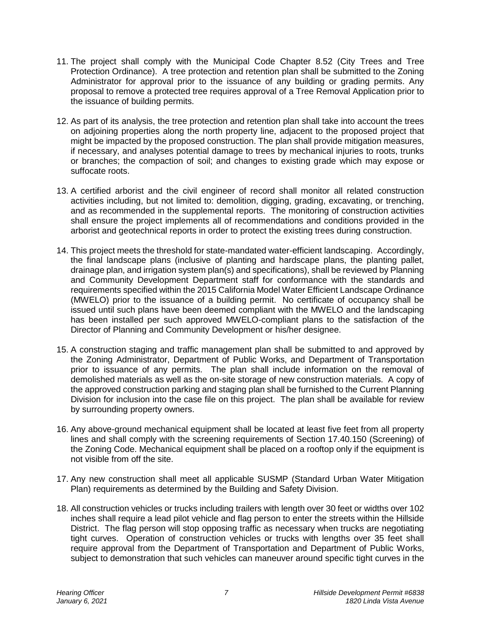- 11. The project shall comply with the Municipal Code Chapter 8.52 (City Trees and Tree Protection Ordinance). A tree protection and retention plan shall be submitted to the Zoning Administrator for approval prior to the issuance of any building or grading permits. Any proposal to remove a protected tree requires approval of a Tree Removal Application prior to the issuance of building permits.
- 12. As part of its analysis, the tree protection and retention plan shall take into account the trees on adjoining properties along the north property line, adjacent to the proposed project that might be impacted by the proposed construction. The plan shall provide mitigation measures, if necessary, and analyses potential damage to trees by mechanical injuries to roots, trunks or branches; the compaction of soil; and changes to existing grade which may expose or suffocate roots.
- 13. A certified arborist and the civil engineer of record shall monitor all related construction activities including, but not limited to: demolition, digging, grading, excavating, or trenching, and as recommended in the supplemental reports. The monitoring of construction activities shall ensure the project implements all of recommendations and conditions provided in the arborist and geotechnical reports in order to protect the existing trees during construction.
- 14. This project meets the threshold for state-mandated water-efficient landscaping. Accordingly, the final landscape plans (inclusive of planting and hardscape plans, the planting pallet, drainage plan, and irrigation system plan(s) and specifications), shall be reviewed by Planning and Community Development Department staff for conformance with the standards and requirements specified within the 2015 California Model Water Efficient Landscape Ordinance (MWELO) prior to the issuance of a building permit. No certificate of occupancy shall be issued until such plans have been deemed compliant with the MWELO and the landscaping has been installed per such approved MWELO-compliant plans to the satisfaction of the Director of Planning and Community Development or his/her designee.
- 15. A construction staging and traffic management plan shall be submitted to and approved by the Zoning Administrator, Department of Public Works, and Department of Transportation prior to issuance of any permits. The plan shall include information on the removal of demolished materials as well as the on-site storage of new construction materials. A copy of the approved construction parking and staging plan shall be furnished to the Current Planning Division for inclusion into the case file on this project. The plan shall be available for review by surrounding property owners.
- 16. Any above-ground mechanical equipment shall be located at least five feet from all property lines and shall comply with the screening requirements of Section 17.40.150 (Screening) of the Zoning Code. Mechanical equipment shall be placed on a rooftop only if the equipment is not visible from off the site.
- 17. Any new construction shall meet all applicable SUSMP (Standard Urban Water Mitigation Plan) requirements as determined by the Building and Safety Division.
- 18. All construction vehicles or trucks including trailers with length over 30 feet or widths over 102 inches shall require a lead pilot vehicle and flag person to enter the streets within the Hillside District. The flag person will stop opposing traffic as necessary when trucks are negotiating tight curves. Operation of construction vehicles or trucks with lengths over 35 feet shall require approval from the Department of Transportation and Department of Public Works, subject to demonstration that such vehicles can maneuver around specific tight curves in the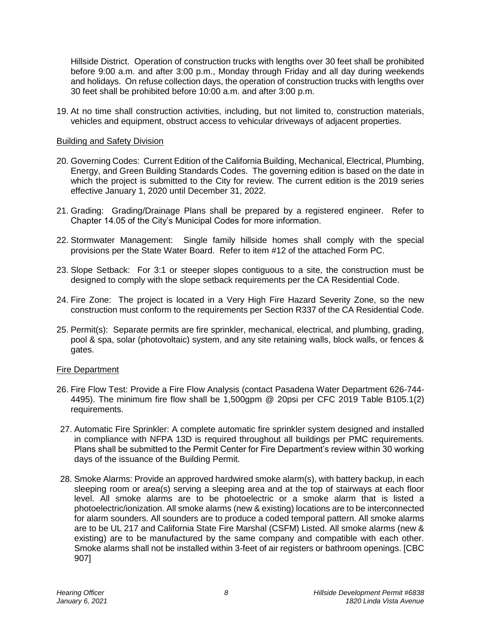Hillside District. Operation of construction trucks with lengths over 30 feet shall be prohibited before 9:00 a.m. and after 3:00 p.m., Monday through Friday and all day during weekends and holidays. On refuse collection days, the operation of construction trucks with lengths over 30 feet shall be prohibited before 10:00 a.m. and after 3:00 p.m.

19. At no time shall construction activities, including, but not limited to, construction materials, vehicles and equipment, obstruct access to vehicular driveways of adjacent properties.

#### Building and Safety Division

- 20. Governing Codes: Current Edition of the California Building, Mechanical, Electrical, Plumbing, Energy, and Green Building Standards Codes. The governing edition is based on the date in which the project is submitted to the City for review. The current edition is the 2019 series effective January 1, 2020 until December 31, 2022.
- 21. Grading: Grading/Drainage Plans shall be prepared by a registered engineer. Refer to Chapter 14.05 of the City's Municipal Codes for more information.
- 22. Stormwater Management: Single family hillside homes shall comply with the special provisions per the State Water Board. Refer to item #12 of the attached Form PC.
- 23. Slope Setback: For 3:1 or steeper slopes contiguous to a site, the construction must be designed to comply with the slope setback requirements per the CA Residential Code.
- 24. Fire Zone: The project is located in a Very High Fire Hazard Severity Zone, so the new construction must conform to the requirements per Section R337 of the CA Residential Code.
- 25. Permit(s): Separate permits are fire sprinkler, mechanical, electrical, and plumbing, grading, pool & spa, solar (photovoltaic) system, and any site retaining walls, block walls, or fences & gates.

#### Fire Department

- 26. Fire Flow Test: Provide a Fire Flow Analysis (contact Pasadena Water Department 626-744- 4495). The minimum fire flow shall be 1,500gpm @ 20psi per CFC 2019 Table B105.1(2) requirements.
- 27. Automatic Fire Sprinkler: A complete automatic fire sprinkler system designed and installed in compliance with NFPA 13D is required throughout all buildings per PMC requirements. Plans shall be submitted to the Permit Center for Fire Department's review within 30 working days of the issuance of the Building Permit.
- 28. Smoke Alarms: Provide an approved hardwired smoke alarm(s), with battery backup, in each sleeping room or area(s) serving a sleeping area and at the top of stairways at each floor level. All smoke alarms are to be photoelectric or a smoke alarm that is listed a photoelectric/ionization. All smoke alarms (new & existing) locations are to be interconnected for alarm sounders. All sounders are to produce a coded temporal pattern. All smoke alarms are to be UL 217 and California State Fire Marshal (CSFM) Listed. All smoke alarms (new & existing) are to be manufactured by the same company and compatible with each other. Smoke alarms shall not be installed within 3-feet of air registers or bathroom openings. [CBC 907]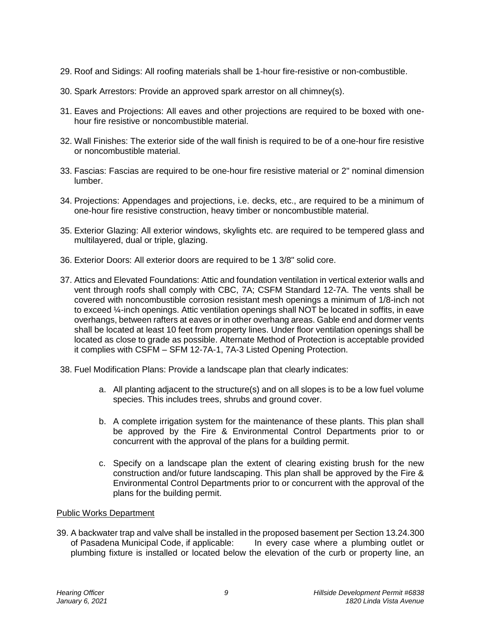- 29. Roof and Sidings: All roofing materials shall be 1-hour fire-resistive or non-combustible.
- 30. Spark Arrestors: Provide an approved spark arrestor on all chimney(s).
- 31. Eaves and Projections: All eaves and other projections are required to be boxed with onehour fire resistive or noncombustible material.
- 32. Wall Finishes: The exterior side of the wall finish is required to be of a one-hour fire resistive or noncombustible material.
- 33. Fascias: Fascias are required to be one-hour fire resistive material or 2" nominal dimension lumber.
- 34. Projections: Appendages and projections, i.e. decks, etc., are required to be a minimum of one-hour fire resistive construction, heavy timber or noncombustible material.
- 35. Exterior Glazing: All exterior windows, skylights etc. are required to be tempered glass and multilayered, dual or triple, glazing.
- 36. Exterior Doors: All exterior doors are required to be 1 3/8" solid core.
- 37. Attics and Elevated Foundations: Attic and foundation ventilation in vertical exterior walls and vent through roofs shall comply with CBC, 7A; CSFM Standard 12-7A. The vents shall be covered with noncombustible corrosion resistant mesh openings a minimum of 1/8-inch not to exceed ¼-inch openings. Attic ventilation openings shall NOT be located in soffits, in eave overhangs, between rafters at eaves or in other overhang areas. Gable end and dormer vents shall be located at least 10 feet from property lines. Under floor ventilation openings shall be located as close to grade as possible. Alternate Method of Protection is acceptable provided it complies with CSFM – SFM 12-7A-1, 7A-3 Listed Opening Protection.
- 38. Fuel Modification Plans: Provide a landscape plan that clearly indicates:
	- a. All planting adjacent to the structure(s) and on all slopes is to be a low fuel volume species. This includes trees, shrubs and ground cover.
	- b. A complete irrigation system for the maintenance of these plants. This plan shall be approved by the Fire & Environmental Control Departments prior to or concurrent with the approval of the plans for a building permit.
	- c. Specify on a landscape plan the extent of clearing existing brush for the new construction and/or future landscaping. This plan shall be approved by the Fire & Environmental Control Departments prior to or concurrent with the approval of the plans for the building permit.

## Public Works Department

39. A backwater trap and valve shall be installed in the proposed basement per Section 13.24.300 of Pasadena Municipal Code, if applicable: In every case where a plumbing outlet or plumbing fixture is installed or located below the elevation of the curb or property line, an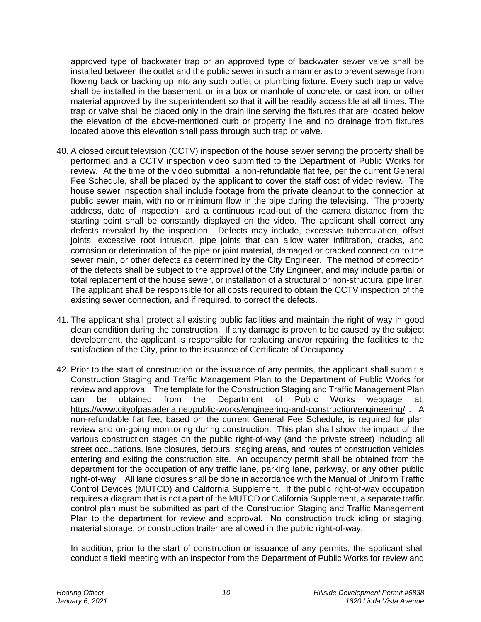approved type of backwater trap or an approved type of backwater sewer valve shall be installed between the outlet and the public sewer in such a manner as to prevent sewage from flowing back or backing up into any such outlet or plumbing fixture. Every such trap or valve shall be installed in the basement, or in a box or manhole of concrete, or cast iron, or other material approved by the superintendent so that it will be readily accessible at all times. The trap or valve shall be placed only in the drain line serving the fixtures that are located below the elevation of the above-mentioned curb or property line and no drainage from fixtures located above this elevation shall pass through such trap or valve.

- 40. A closed circuit television (CCTV) inspection of the house sewer serving the property shall be performed and a CCTV inspection video submitted to the Department of Public Works for review. At the time of the video submittal, a non-refundable flat fee, per the current General Fee Schedule, shall be placed by the applicant to cover the staff cost of video review. The house sewer inspection shall include footage from the private cleanout to the connection at public sewer main, with no or minimum flow in the pipe during the televising. The property address, date of inspection, and a continuous read-out of the camera distance from the starting point shall be constantly displayed on the video. The applicant shall correct any defects revealed by the inspection. Defects may include, excessive tuberculation, offset joints, excessive root intrusion, pipe joints that can allow water infiltration, cracks, and corrosion or deterioration of the pipe or joint material, damaged or cracked connection to the sewer main, or other defects as determined by the City Engineer. The method of correction of the defects shall be subject to the approval of the City Engineer, and may include partial or total replacement of the house sewer, or installation of a structural or non-structural pipe liner. The applicant shall be responsible for all costs required to obtain the CCTV inspection of the existing sewer connection, and if required, to correct the defects.
- 41. The applicant shall protect all existing public facilities and maintain the right of way in good clean condition during the construction. If any damage is proven to be caused by the subject development, the applicant is responsible for replacing and/or repairing the facilities to the satisfaction of the City, prior to the issuance of Certificate of Occupancy.
- 42. Prior to the start of construction or the issuance of any permits, the applicant shall submit a Construction Staging and Traffic Management Plan to the Department of Public Works for review and approval. The template for the Construction Staging and Traffic Management Plan can be obtained from the Department of Public Works webpage at: <https://www.cityofpasadena.net/public-works/engineering-and-construction/engineering/> . A non-refundable flat fee, based on the current General Fee Schedule, is required for plan review and on-going monitoring during construction. This plan shall show the impact of the various construction stages on the public right-of-way (and the private street) including all street occupations, lane closures, detours, staging areas, and routes of construction vehicles entering and exiting the construction site. An occupancy permit shall be obtained from the department for the occupation of any traffic lane, parking lane, parkway, or any other public right-of-way. All lane closures shall be done in accordance with the Manual of Uniform Traffic Control Devices (MUTCD) and California Supplement. If the public right-of-way occupation requires a diagram that is not a part of the MUTCD or California Supplement, a separate traffic control plan must be submitted as part of the Construction Staging and Traffic Management Plan to the department for review and approval. No construction truck idling or staging, material storage, or construction trailer are allowed in the public right-of-way.

In addition, prior to the start of construction or issuance of any permits, the applicant shall conduct a field meeting with an inspector from the Department of Public Works for review and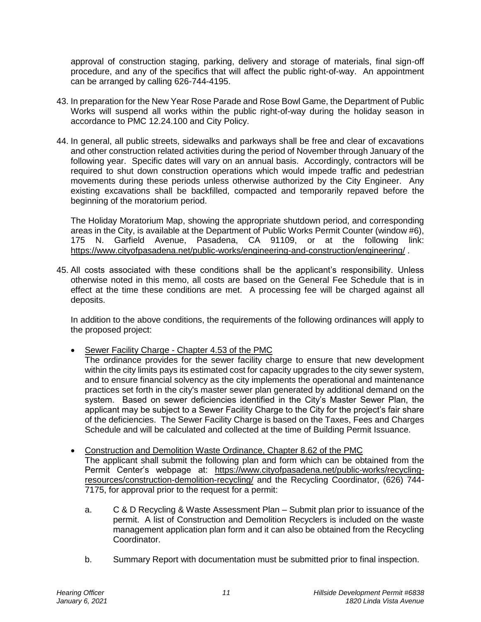approval of construction staging, parking, delivery and storage of materials, final sign-off procedure, and any of the specifics that will affect the public right-of-way. An appointment can be arranged by calling 626-744-4195.

- 43. In preparation for the New Year Rose Parade and Rose Bowl Game, the Department of Public Works will suspend all works within the public right-of-way during the holiday season in accordance to PMC 12.24.100 and City Policy.
- 44. In general, all public streets, sidewalks and parkways shall be free and clear of excavations and other construction related activities during the period of November through January of the following year. Specific dates will vary on an annual basis. Accordingly, contractors will be required to shut down construction operations which would impede traffic and pedestrian movements during these periods unless otherwise authorized by the City Engineer. Any existing excavations shall be backfilled, compacted and temporarily repaved before the beginning of the moratorium period.

The Holiday Moratorium Map, showing the appropriate shutdown period, and corresponding areas in the City, is available at the Department of Public Works Permit Counter (window #6), 175 N. Garfield Avenue, Pasadena, CA 91109, or at the following link: <https://www.cityofpasadena.net/public-works/engineering-and-construction/engineering/> .

45. All costs associated with these conditions shall be the applicant's responsibility. Unless otherwise noted in this memo, all costs are based on the General Fee Schedule that is in effect at the time these conditions are met. A processing fee will be charged against all deposits.

In addition to the above conditions, the requirements of the following ordinances will apply to the proposed project:

- Sewer Facility Charge Chapter 4.53 of the PMC
	- The ordinance provides for the sewer facility charge to ensure that new development within the city limits pays its estimated cost for capacity upgrades to the city sewer system, and to ensure financial solvency as the city implements the operational and maintenance practices set forth in the city's master sewer plan generated by additional demand on the system. Based on sewer deficiencies identified in the City's Master Sewer Plan, the applicant may be subject to a Sewer Facility Charge to the City for the project's fair share of the deficiencies. The Sewer Facility Charge is based on the Taxes, Fees and Charges Schedule and will be calculated and collected at the time of Building Permit Issuance.
- Construction and Demolition Waste Ordinance, Chapter 8.62 of the PMC The applicant shall submit the following plan and form which can be obtained from the Permit Center's webpage at: [https://www.cityofpasadena.net/public-works/recycling](https://www.cityofpasadena.net/public-works/recycling-resources/construction-demolition-recycling/)[resources/construction-demolition-recycling/](https://www.cityofpasadena.net/public-works/recycling-resources/construction-demolition-recycling/) and the Recycling Coordinator, (626) 744- 7175, for approval prior to the request for a permit:
	- a. C & D Recycling & Waste Assessment Plan Submit plan prior to issuance of the permit. A list of Construction and Demolition Recyclers is included on the waste management application plan form and it can also be obtained from the Recycling Coordinator.
	- b. Summary Report with documentation must be submitted prior to final inspection.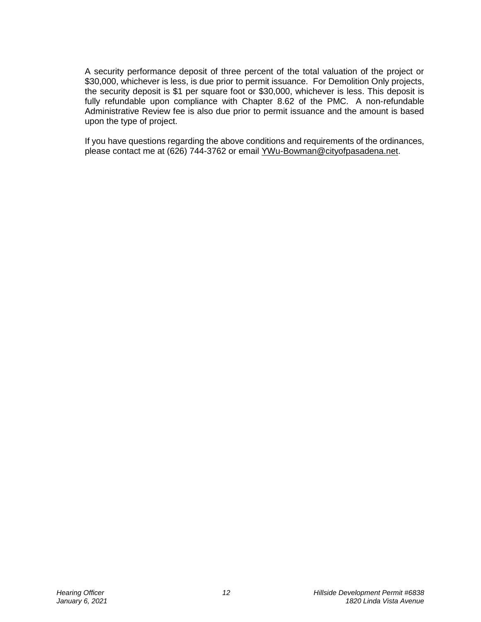A security performance deposit of three percent of the total valuation of the project or \$30,000, whichever is less, is due prior to permit issuance. For Demolition Only projects, the security deposit is \$1 per square foot or \$30,000, whichever is less. This deposit is fully refundable upon compliance with Chapter 8.62 of the PMC. A non-refundable Administrative Review fee is also due prior to permit issuance and the amount is based upon the type of project.

If you have questions regarding the above conditions and requirements of the ordinances, please contact me at (626) 744-3762 or email [YWu-Bowman@cityofpasadena.net.](mailto:YWu-Bowman@cityofpasadena.net)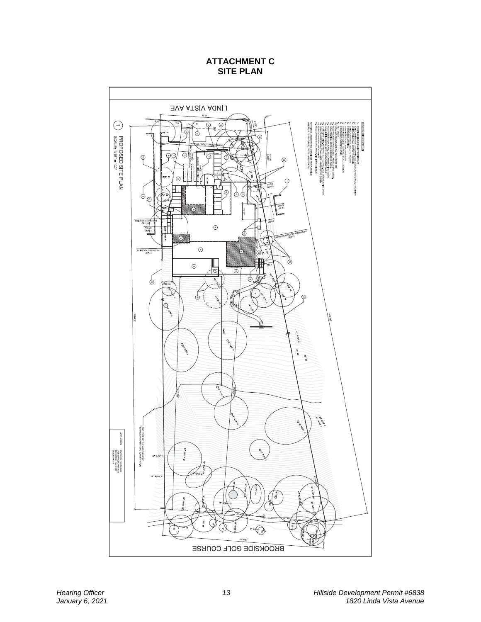# **ATTACHMENT C SITE PLAN**